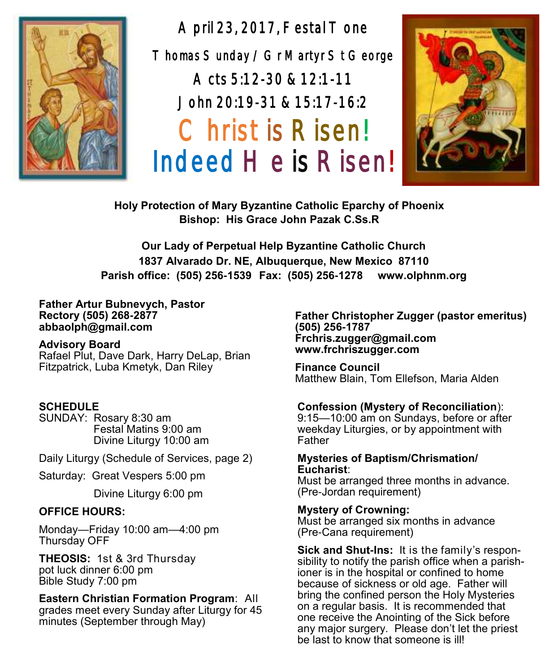

April 23, 2017, Festal Tone Thomas Sunday / Gr Martyr St George Acts 5:12-30 & 12:1-11 John 20:19-31 & 15:17-16:2 Christ is Risen! Indeed He is Risen!



**Holy Protection of Mary Byzantine Catholic Eparchy of Phoenix Bishop: His Grace John Pazak C.Ss.R**

**Our Lady of Perpetual Help Byzantine Catholic Church 1837 Alvarado Dr. NE, Albuquerque, New Mexico 87110 Parish office: (505) 256-1539 Fax: (505) 256-1278 www.olphnm.org**

**Father Artur Bubnevych, Pastor Rectory (505) 268-2877 abbaolph@gmail.com** 

#### **Advisory Board**

Rafael Plut, Dave Dark, Harry DeLap, Brian Fitzpatrick, Luba Kmetyk, Dan Riley

#### **SCHEDULE**

SUNDAY: Rosary 8:30 am Festal Matins 9:00 am Divine Liturgy 10:00 am

Daily Liturgy (Schedule of Services, page 2)

Saturday: Great Vespers 5:00 pm

Divine Liturgy 6:00 pm

#### **OFFICE HOURS:**

Monday—Friday 10:00 am—4:00 pm Thursday OFF

**THEOSIS:** 1st & 3rd Thursday pot luck dinner 6:00 pm Bible Study 7:00 pm

**Eastern Christian Formation Program**: All

grades meet every Sunday after Liturgy for 45 minutes (September through May)

**Father Christopher Zugger (pastor emeritus) (505) 256-1787 Frchris.zugger@gmail.com www.frchriszugger.com** 

**Finance Council**  Matthew Blain, Tom Ellefson, Maria Alden

#### **Confession (Mystery of Reconciliation**):

9:15—10:00 am on Sundays, before or after weekday Liturgies, or by appointment with Father

#### **Mysteries of Baptism/Chrismation/ Eucharist**:

Must be arranged three months in advance. (Pre-Jordan requirement)

**Mystery of Crowning:** 

Must be arranged six months in advance (Pre-Cana requirement)

**Sick and Shut-Ins:** It is the family's responsibility to notify the parish office when a parishioner is in the hospital or confined to home because of sickness or old age. Father will bring the confined person the Holy Mysteries on a regular basis. It is recommended that one receive the Anointing of the Sick before any major surgery. Please don't let the priest be last to know that someone is ill!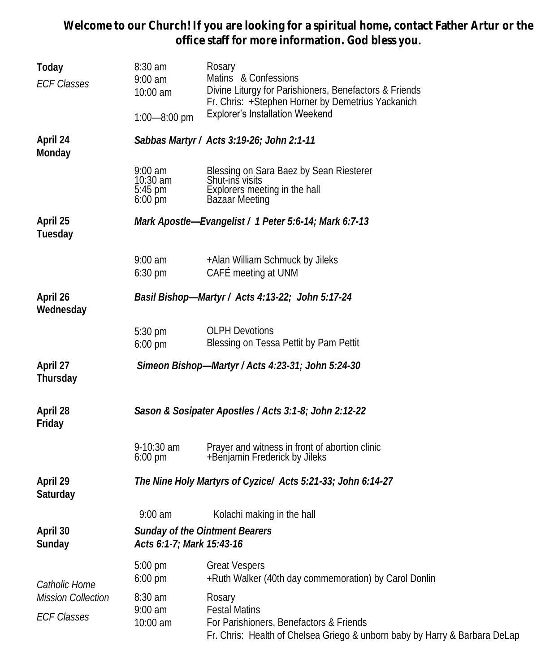**Welcome to our Church! If you are looking for a spiritual home, contact Father Artur or the office staff for more information. God bless you.**

| Today<br><b>ECF Classes</b>                                      | 8:30 am<br>$9:00 \text{ am}$<br>10:00 am                           | Rosary<br>Matins & Confessions<br>Divine Liturgy for Parishioners, Benefactors & Friends<br>Fr. Chris: +Stephen Horner by Demetrius Yackanich           |  |  |  |
|------------------------------------------------------------------|--------------------------------------------------------------------|---------------------------------------------------------------------------------------------------------------------------------------------------------|--|--|--|
|                                                                  | $1:00 - 8:00$ pm                                                   | <b>Explorer's Installation Weekend</b>                                                                                                                  |  |  |  |
| April 24<br>Monday                                               | Sabbas Martyr / Acts 3:19-26; John 2:1-11                          |                                                                                                                                                         |  |  |  |
|                                                                  | $9:00$ am<br>10:30 am<br>$5:45 \text{ pm}$<br>$6:00 \,\mathrm{pm}$ | Blessing on Sara Baez by Sean Riesterer<br>Shut-ins visits<br>Explorers meeting in the hall<br>Bazaar Meeting                                           |  |  |  |
| April 25<br>Tuesday                                              | Mark Apostle-Evangelist / 1 Peter 5:6-14; Mark 6:7-13              |                                                                                                                                                         |  |  |  |
|                                                                  | $9:00$ am<br>$6:30 \text{ pm}$                                     | +Alan William Schmuck by Jileks<br>CAFÉ meeting at UNM                                                                                                  |  |  |  |
| April 26<br>Wednesday                                            | Basil Bishop-Martyr / Acts 4:13-22; John 5:17-24                   |                                                                                                                                                         |  |  |  |
|                                                                  | 5:30 pm<br>$6:00$ pm                                               | <b>OLPH Devotions</b><br>Blessing on Tessa Pettit by Pam Pettit                                                                                         |  |  |  |
| April 27<br>Thursday                                             | Simeon Bishop-Martyr / Acts 4:23-31; John 5:24-30                  |                                                                                                                                                         |  |  |  |
| April 28<br>Friday                                               | Sason & Sosipater Apostles / Acts 3:1-8; John 2:12-22              |                                                                                                                                                         |  |  |  |
|                                                                  | $9-10:30$ am<br>$6:00 \text{ pm}$                                  | Prayer and witness in front of abortion clinic<br>+Benjamin Frederick by Jileks                                                                         |  |  |  |
| April 29<br>Saturday                                             | The Nine Holy Martyrs of Cyzice/ Acts 5:21-33; John 6:14-27        |                                                                                                                                                         |  |  |  |
|                                                                  | $9:00$ am                                                          | Kolachi making in the hall                                                                                                                              |  |  |  |
| April 30<br>Sunday                                               | Acts 6:1-7; Mark 15:43-16                                          | Sunday of the Ointment Bearers                                                                                                                          |  |  |  |
| Catholic Home<br><b>Mission Collection</b><br><b>ECF Classes</b> | 5:00 pm<br>6:00 pm                                                 | <b>Great Vespers</b><br>+Ruth Walker (40th day commemoration) by Carol Donlin                                                                           |  |  |  |
|                                                                  | 8:30 am<br>$9:00$ am<br>10:00 am                                   | Rosary<br><b>Festal Matins</b><br>For Parishioners, Benefactors & Friends<br>Fr. Chris: Health of Chelsea Griego & unborn baby by Harry & Barbara DeLap |  |  |  |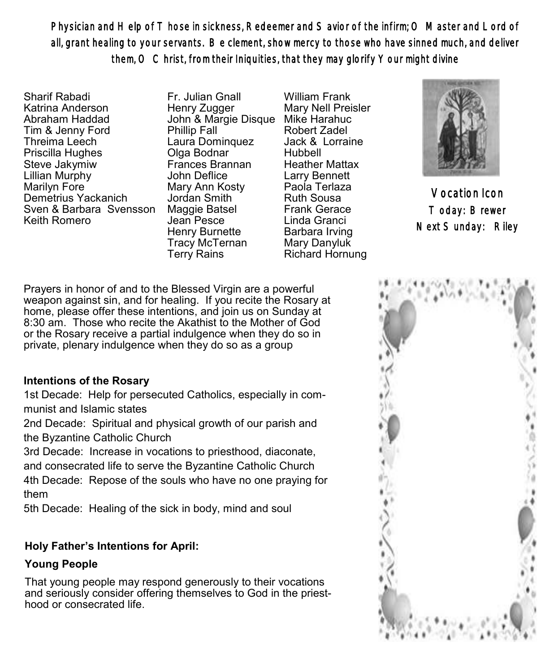Physician and Help of T hose in sickness, Redeemer and S avior of the infirm; O Master and Lord of all, grant healing to your servants. Be clement, show mercy to those who have sinned much, and deliver them, O Christ, from their Iniquities, that they may glorify Your might divine

Sharif Rabadi Katrina Anderson Abraham Haddad Tim & Jenny Ford Threima Leech Priscilla Hughes Steve Jakymiw Lillian Murphy Marilyn Fore Demetrius Yackanich Sven & Barbara Svensson Keith Romero

Fr. Julian Gnall Henry Zugger John & Margie Disque Mike Harahuc Phillip Fall Laura Dominquez Olga Bodnar Frances Brannan John Deflice Mary Ann Kosty Jordan Smith Maggie Batsel Jean Pesce Henry Burnette Tracy McTernan Terry Rains

William Frank Mary Nell Preisler Robert Zadel Jack & Lorraine Hubbell Heather Mattax Larry Bennett Paola Terlaza Ruth Sousa Frank Gerace Linda Granci Barbara Irving Mary Danyluk Richard Hornung



Vocation Icon Today: Brewer Next Sunday: Riley

Prayers in honor of and to the Blessed Virgin are a powerful weapon against sin, and for healing. If you recite the Rosary at home, please offer these intentions, and join us on Sunday at 8:30 am. Those who recite the Akathist to the Mother of God or the Rosary receive a partial indulgence when they do so in private, plenary indulgence when they do so as a group

## **Intentions of the Rosary**

1st Decade: Help for persecuted Catholics, especially in communist and Islamic states

2nd Decade: Spiritual and physical growth of our parish and the Byzantine Catholic Church

3rd Decade: Increase in vocations to priesthood, diaconate, and consecrated life to serve the Byzantine Catholic Church

4th Decade: Repose of the souls who have no one praying for them

5th Decade: Healing of the sick in body, mind and soul

## **Holy Father's Intentions for April:**

## **Young People**

That young people may respond generously to their vocations and seriously consider offering themselves to God in the priesthood or consecrated life.

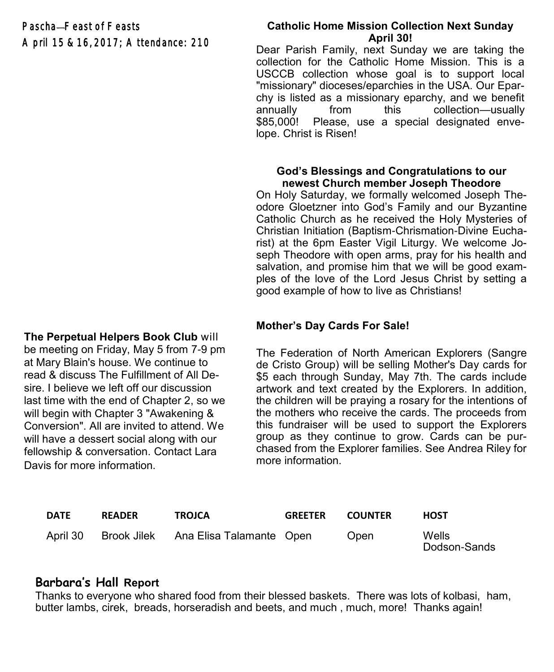Pascha—Feast of Feasts April 15 & 16, 2017; Attendance: 210

## **The Perpetual Helpers Book Club** will

be meeting on Friday, May 5 from 7-9 pm at Mary Blain's house. We continue to read & discuss The Fulfillment of All Desire. I believe we left off our discussion last time with the end of Chapter 2, so we will begin with Chapter 3 "Awakening & Conversion". All are invited to attend. We will have a dessert social along with our fellowship & conversation. Contact Lara Davis for more information.

#### **Catholic Home Mission Collection Next Sunday April 30!**

Dear Parish Family, next Sunday we are taking the collection for the Catholic Home Mission. This is a USCCB collection whose goal is to support local "missionary" dioceses/eparchies in the USA. Our Eparchy is listed as a missionary eparchy, and we benefit annually from this collection—usually \$85,000! Please, use a special designated envelope. Christ is Risen!

#### **God's Blessings and Congratulations to our newest Church member Joseph Theodore**

On Holy Saturday, we formally welcomed Joseph Theodore Gloetzner into God's Family and our Byzantine Catholic Church as he received the Holy Mysteries of Christian Initiation (Baptism-Chrismation-Divine Eucharist) at the 6pm Easter Vigil Liturgy. We welcome Joseph Theodore with open arms, pray for his health and salvation, and promise him that we will be good examples of the love of the Lord Jesus Christ by setting a good example of how to live as Christians!

## **Mother's Day Cards For Sale!**

The Federation of North American Explorers (Sangre de Cristo Group) will be selling Mother's Day cards for \$5 each through Sunday, May 7th. The cards include artwork and text created by the Explorers. In addition, the children will be praying a rosary for the intentions of the mothers who receive the cards. The proceeds from this fundraiser will be used to support the Explorers group as they continue to grow. Cards can be purchased from the Explorer families. See Andrea Riley for more information.

| <b>DATE</b> | <b>READER</b> | <b>TROJCA</b>                                 | <b>GREETER</b> | <b>COUNTER</b> | <b>HOST</b>           |
|-------------|---------------|-----------------------------------------------|----------------|----------------|-----------------------|
|             |               | April 30 Brook Jilek Ana Elisa Talamante Open |                | Open           | Wells<br>Dodson-Sands |

## **Barbara's Hall Report**

Thanks to everyone who shared food from their blessed baskets. There was lots of kolbasi, ham, butter lambs, cirek, breads, horseradish and beets, and much , much, more! Thanks again!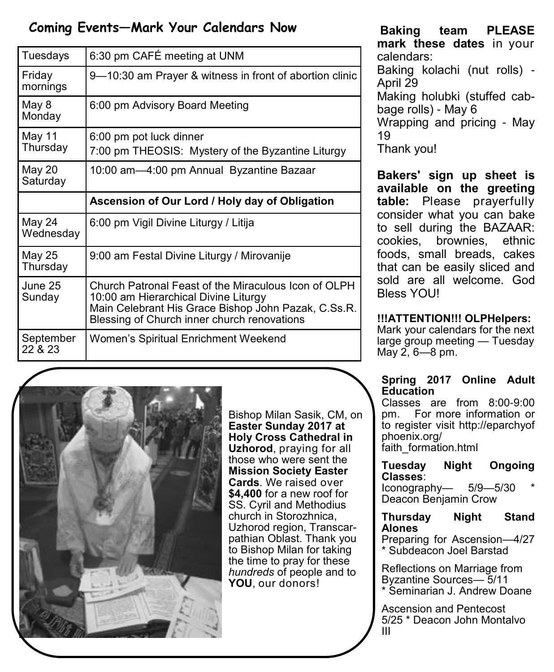# **Coming Events—Mark Your Calendars Now**

| Tuesdays             | 6:30 pm CAFÉ meeting at UNM                                                                                                                                                                        |
|----------------------|----------------------------------------------------------------------------------------------------------------------------------------------------------------------------------------------------|
| Friday<br>mornings   | 9-10:30 am Prayer & witness in front of abortion clinic                                                                                                                                            |
| May 8<br>Monday      | 6:00 pm Advisory Board Meeting                                                                                                                                                                     |
| May 11<br>Thursday   | 6:00 pm pot luck dinner<br>7:00 pm THEOSIS: Mystery of the Byzantine Liturgy                                                                                                                       |
| May 20<br>Saturday   | 10:00 am-4:00 pm Annual Byzantine Bazaar                                                                                                                                                           |
|                      | Ascension of Our Lord / Holy day of Obligation                                                                                                                                                     |
| May 24<br>Wednesday  | 6:00 pm Vigil Divine Liturgy / Litija                                                                                                                                                              |
| May 25<br>Thursday   | 9:00 am Festal Divine Liturgy / Mirovanije                                                                                                                                                         |
| June 25<br>Sunday    | Church Patronal Feast of the Miraculous Icon of OLPH<br>10:00 am Hierarchical Divine Liturgy<br>Main Celebrant His Grace Bishop John Pazak, C.Ss.R.<br>Blessing of Church inner church renovations |
| September<br>22 & 23 | Women's Spiritual Enrichment Weekend                                                                                                                                                               |



Bishop Milan Sasik, CM, on **Easter Sunday 2017 at Holy Cross Cathedral in Uzhorod**, praying for all those who were sent the **Mission Society Easter Cards**. We raised over **\$4,400** for a new roof for SS. Cyril and Methodius church in Storozhnica, Uzhorod region, Transcarpathian Oblast. Thank you to Bishop Milan for taking the time to pray for these *hundreds* of people and to **YOU**, our donors!

**Baking team PLEASE mark these dates** in your calendars: Baking kolachi (nut rolls) - April 29 Making holubki (stuffed cab-

bage rolls) - May 6 Wrapping and pricing - May 19

Thank you!

**Bakers' sign up sheet is available on the greeting table:** Please prayerfully consider what you can bake to sell during the BAZAAR: cookies, brownies, ethnic foods, small breads, cakes that can be easily sliced and sold are all welcome. God **Bless YOU!** 

## **!!!ATTENTION!!! OLPHelpers:**

Mark your calendars for the next large group meeting — Tuesday May 2, 6—8 pm.

## **Spring 2017 Online Adult Education**

Classes are from 8:00-9:00 pm. For more information or to register visit http://eparchyof phoenix.org/ faith\_formation.html

#### **Tuesday Night Ongoing Classes**:

 $I$ conography—  $5/9$ — $5/30$ Deacon Benjamin Crow

## **Thursday Night Stand Alones**

Preparing for Ascension—4/27 \* Subdeacon Joel Barstad

Reflections on Marriage from Byzantine Sources— 5/11 \* Seminarian J. Andrew Doane

Ascension and Pentecost 5/25 \* Deacon John Montalvo III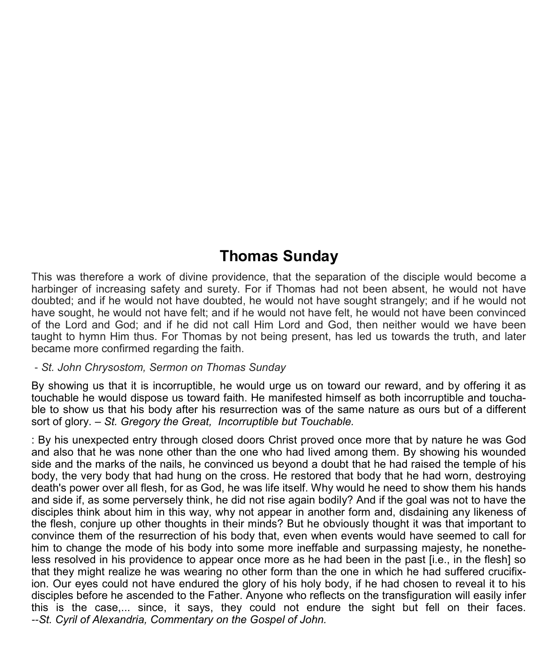# **Thomas Sunday**

This was therefore a work of divine providence, that the separation of the disciple would become a harbinger of increasing safety and surety. For if Thomas had not been absent, he would not have doubted; and if he would not have doubted, he would not have sought strangely; and if he would not have sought, he would not have felt; and if he would not have felt, he would not have been convinced of the Lord and God; and if he did not call Him Lord and God, then neither would we have been taught to hymn Him thus. For Thomas by not being present, has led us towards the truth, and later became more confirmed regarding the faith.

#### - *St. John Chrysostom, Sermon on Thomas Sunday*

By showing us that it is incorruptible, he would urge us on toward our reward, and by offering it as touchable he would dispose us toward faith. He manifested himself as both incorruptible and touchable to show us that his body after his resurrection was of the same nature as ours but of a different sort of glory. – *St. Gregory the Great, Incorruptible but Touchable.* 

: By his unexpected entry through closed doors Christ proved once more that by nature he was God and also that he was none other than the one who had lived among them. By showing his wounded side and the marks of the nails, he convinced us beyond a doubt that he had raised the temple of his body, the very body that had hung on the cross. He restored that body that he had worn, destroying death's power over all flesh, for as God, he was life itself. Why would he need to show them his hands and side if, as some perversely think, he did not rise again bodily? And if the goal was not to have the disciples think about him in this way, why not appear in another form and, disdaining any likeness of the flesh, conjure up other thoughts in their minds? But he obviously thought it was that important to convince them of the resurrection of his body that, even when events would have seemed to call for him to change the mode of his body into some more ineffable and surpassing majesty, he nonetheless resolved in his providence to appear once more as he had been in the past [i.e., in the flesh] so that they might realize he was wearing no other form than the one in which he had suffered crucifixion. Our eyes could not have endured the glory of his holy body, if he had chosen to reveal it to his disciples before he ascended to the Father. Anyone who reflects on the transfiguration will easily infer this is the case,... since, it says, they could not endure the sight but fell on their faces. *--St. Cyril of Alexandria, Commentary on the Gospel of John.*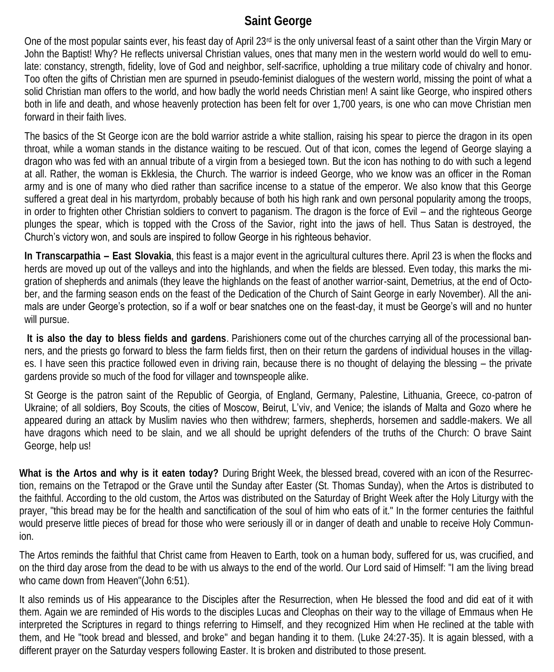## **Saint George**

One of the most popular saints ever, his feast day of April  $23<sup>rd</sup>$  is the only universal feast of a saint other than the Virgin Mary or John the Baptist! Why? He reflects universal Christian values, ones that many men in the western world would do well to emulate: constancy, strength, fidelity, love of God and neighbor, self-sacrifice, upholding a true military code of chivalry and honor. Too often the gifts of Christian men are spurned in pseudo-feminist dialogues of the western world, missing the point of what a solid Christian man offers to the world, and how badly the world needs Christian men! A saint like George, who inspired others both in life and death, and whose heavenly protection has been felt for over 1,700 years, is one who can move Christian men forward in their faith lives.

The basics of the St George icon are the bold warrior astride a white stallion, raising his spear to pierce the dragon in its open throat, while a woman stands in the distance waiting to be rescued. Out of that icon, comes the legend of George slaying a dragon who was fed with an annual tribute of a virgin from a besieged town. But the icon has nothing to do with such a legend at all. Rather, the woman is Ekklesia, the Church. The warrior is indeed George, who we know was an officer in the Roman army and is one of many who died rather than sacrifice incense to a statue of the emperor. We also know that this George suffered a great deal in his martyrdom, probably because of both his high rank and own personal popularity among the troops, in order to frighten other Christian soldiers to convert to paganism. The dragon is the force of Evil – and the righteous George plunges the spear, which is topped with the Cross of the Savior, right into the jaws of hell. Thus Satan is destroyed, the Church's victory won, and souls are inspired to follow George in his righteous behavior.

**In Transcarpathia – East Slovakia**, this feast is a major event in the agricultural cultures there. April 23 is when the flocks and herds are moved up out of the valleys and into the highlands, and when the fields are blessed. Even today, this marks the migration of shepherds and animals (they leave the highlands on the feast of another warrior-saint, Demetrius, at the end of October, and the farming season ends on the feast of the Dedication of the Church of Saint George in early November). All the animals are under George's protection, so if a wolf or bear snatches one on the feast-day, it must be George's will and no hunter will pursue.

**It is also the day to bless fields and gardens**. Parishioners come out of the churches carrying all of the processional banners, and the priests go forward to bless the farm fields first, then on their return the gardens of individual houses in the villages. I have seen this practice followed even in driving rain, because there is no thought of delaying the blessing – the private gardens provide so much of the food for villager and townspeople alike.

St George is the patron saint of the Republic of Georgia, of England, Germany, Palestine, Lithuania, Greece, co-patron of Ukraine; of all soldiers, Boy Scouts, the cities of Moscow, Beirut, L'viv, and Venice; the islands of Malta and Gozo where he appeared during an attack by Muslim navies who then withdrew; farmers, shepherds, horsemen and saddle-makers. We all have dragons which need to be slain, and we all should be upright defenders of the truths of the Church: O brave Saint George, help us!

**What is the Artos and why is it eaten today?** During Bright Week, the blessed bread, covered with an icon of the Resurrection, remains on the Tetrapod or the Grave until the Sunday after Easter (St. Thomas Sunday), when the Artos is distributed to the faithful. According to the old custom, the Artos was distributed on the Saturday of Bright Week after the Holy Liturgy with the prayer, "this bread may be for the health and sanctification of the soul of him who eats of it." In the former centuries the faithful would preserve little pieces of bread for those who were seriously ill or in danger of death and unable to receive Holy Communion.

The Artos reminds the faithful that Christ came from Heaven to Earth, took on a human body, suffered for us, was crucified, and on the third day arose from the dead to be with us always to the end of the world. Our Lord said of Himself: "I am the living bread who came down from Heaven"(John 6:51).

It also reminds us of His appearance to the Disciples after the Resurrection, when He blessed the food and did eat of it with them. Again we are reminded of His words to the disciples Lucas and Cleophas on their way to the village of Emmaus when He interpreted the Scriptures in regard to things referring to Himself, and they recognized Him when He reclined at the table with them, and He "took bread and blessed, and broke" and began handing it to them. (Luke 24:27-35). It is again blessed, with a different prayer on the Saturday vespers following Easter. It is broken and distributed to those present.